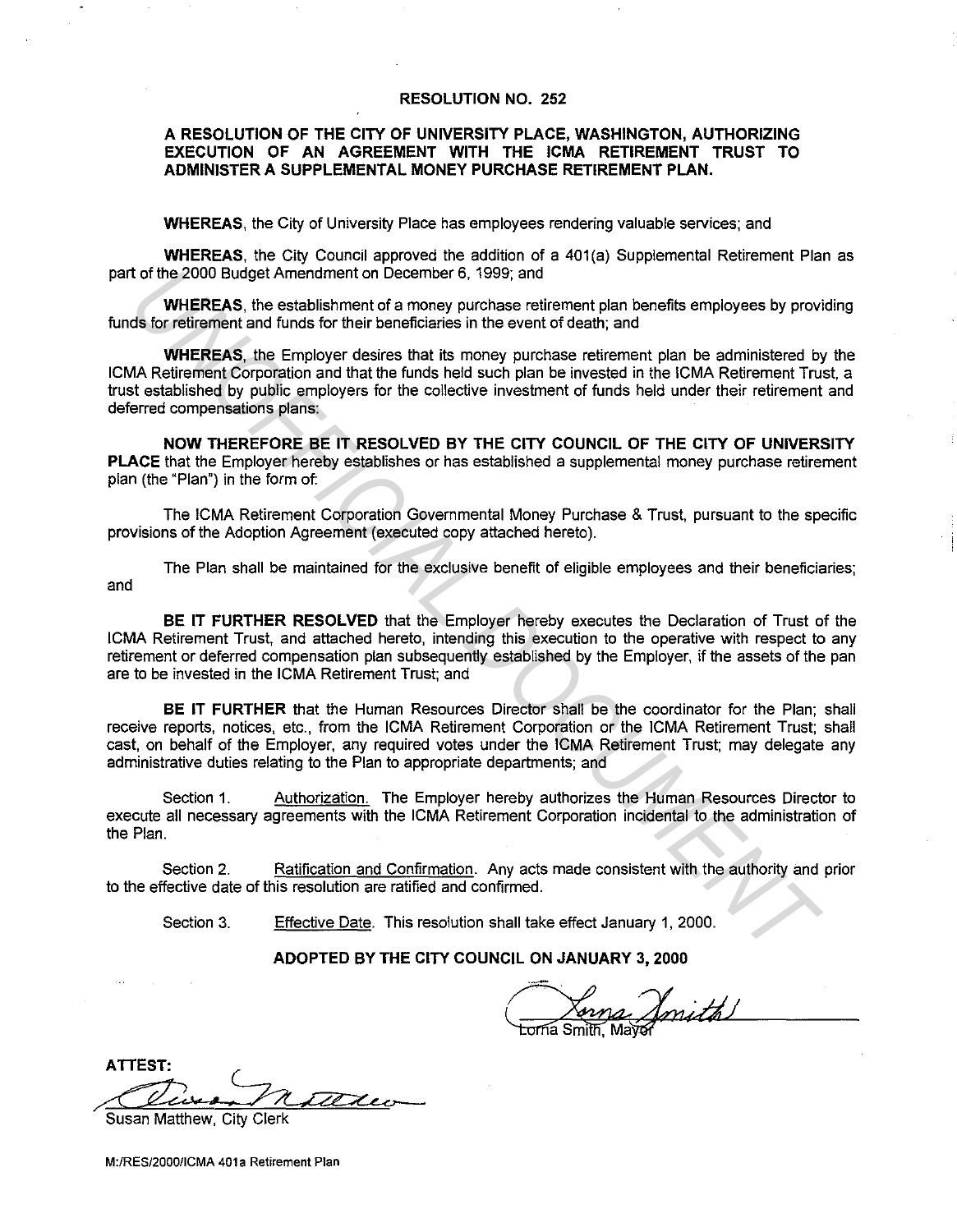#### **RESOLUTION NO. 252**

### **A RESOLUTION OF THE CITY OF UNIVERSITY PLACE, WASHINGTON, AUTHORIZING EXECUTION OF AN AGREEMENT WITH THE ICMA RETIREMENT TRUST TO ADMINISTER A SUPPLEMENTAL MONEY PURCHASE RETIREMENT PLAN.**

**WHEREAS,** the City of University Place has employees rendering valuable services; and

**WHEREAS**, the City Council approved the addition of a 401(a) Supplemental Retirement Plan as part of the 2000 Budget Amendment on December 6, 1999; and

**WHEREAS,** the establishment of a money purchase retirement plan benefits employees by providing funds for retirement and funds for their beneficiaries in the event of death; and

**WHEREAS,** the Employer desires that its money purchase retirement plan be administered by the ICMA Retirement Corporation and that the funds held such plan be invested in the ICMA Retirement Trust, a trust established by public employers for the collective investment of funds held under their retirement and deferred compensations plans: to the 2000 Budget Amendment on December 6, 1999; and<br>WHEREAS, the establishment of a money purchase retirement plan benefits employees by provide for retirement and funds for the then diffusion the event of death; and<br>WH

**NOW THEREFORE BE IT RESOLVED BY THE CITY COUNCIL OF THE CITY OF UNIVERSITY PLACE** that the Employer hereby establishes or has established a supplemental money purchase retirement plan (the "Plan") in the form of:

The ICMA Retirement Corporation Governmental Money Purchase & Trust, pursuant to the specific provisions of the Adoption Agreement (executed copy attached hereto).

The Plan shall be maintained for the exclusive benefit of eligible employees and their beneficiaries; and

**BE IT FURTHER RESOLVED** that the Employer hereby executes the Declaration of Trust of the ICMA Retirement Trust, and attached hereto, intending this execution to the operative with respect to any retirement or deferred compensation plan subsequently established by the Employer, if the assets of the pan are to be invested in the ICMA Retirement Trust; and

**BE IT FURTHER** that the Human Resources Director shall be the coordinator for the Plan; shall receive reports, notices, etc., from the ICMA Retirement Corporation or the ICMA Retirement Trust; shall cast, on behalf of the Employer, any required votes under the ICMA Retirement Trust; may delegate any administrative duties relating to the Plan to appropriate departments; and

Section 1. Authorization. The Employer hereby authorizes the Human Resources Director to execute all necessary agreements with the ICMA Retirement Corporation incidental to the administration of the Plan.

Section 2. Ratification and Confirmation. Any acts made consistent with the authority and prior to the effective date of this resolution are ratified and confirmed.

Section 3. Effective Date. This resolution shall take effect January 1, 2000.

**ADOPTED BY THE CITY COUNCIL ON JANUARY 3, 2000** 

<u>Sarna Smith!</u>

**ATTEST:** ~

Susan Matthew, City Clerk

M:/RES/2000/ICMA 401a Retirement Plan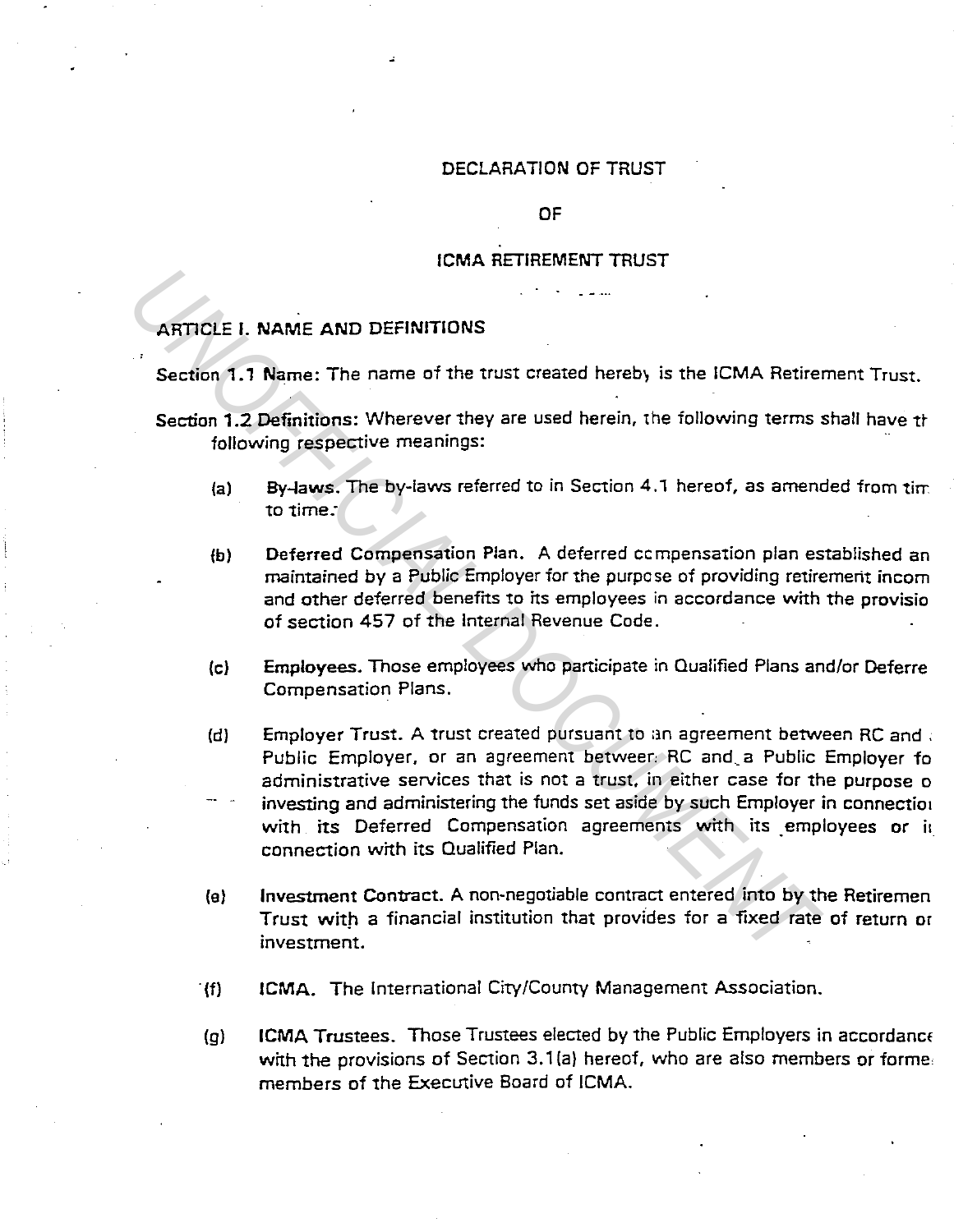### DECLARATION OF TRUST

#### OF

### ICMA RETIREMENT TRUST

# ARTICLE I. NAME AND DEFINITIONS

Section 1.1 Name: The name of the trust created hereby is the ICMA Retirement Trust.

- Section 1.2 Definitions: Wherever they are used herein, the following terms shall have the following respective meanings:
	- (a) By-laws. The by-laws referred to in Section 4.1 hereof, as amended from time to time:
	- fb) Deferred Compensation Plan. A deferred ccmpensation plan established an maintained by a Public Employer for the purpose of providing retirement incom and other deferred benefits to its employees in accordance with the provisio of section 457 of the Internal Revenue Code.
	- (cl Employees. Those employees who participate in Qualified Plans and/or Deferre Compensation Plans.
- (d) Employer Trust. A trust created pursuant to an agreement between RC and . Public Employer, or an agreement betweer: RC and\_a Public Employer fo administrative services that is not a trust, in either case for the purpose o investing and administering the funds set aside by such Employer in connection with its Deferred Compensation agreements with its employees or it connection with its Qualified Plan. **EXECUTE 1. NAME AND DEFINITIONS**<br> **EXECUTE: I.1 Name:** The name of the trust created hereby is the ICMA Retirem<br> **Section 1.2 Definitions:** Wherever they are used herein, the following terms is<br>
following respective mea
	- (e) Investment Contract. A non-negotiable contract entered into by the Retiremen Trust with a financial institution that provides for a fixed rate of return or investment.
	- "(f) ICMA. The International City/County Management Association.
	- (g) ICMA Trustees. Those Trustees elected by the Public Employers in accordanct with the provisions of Section 3.1(a) hereof, who are also members or formemembers of the Executive Board of ICMA.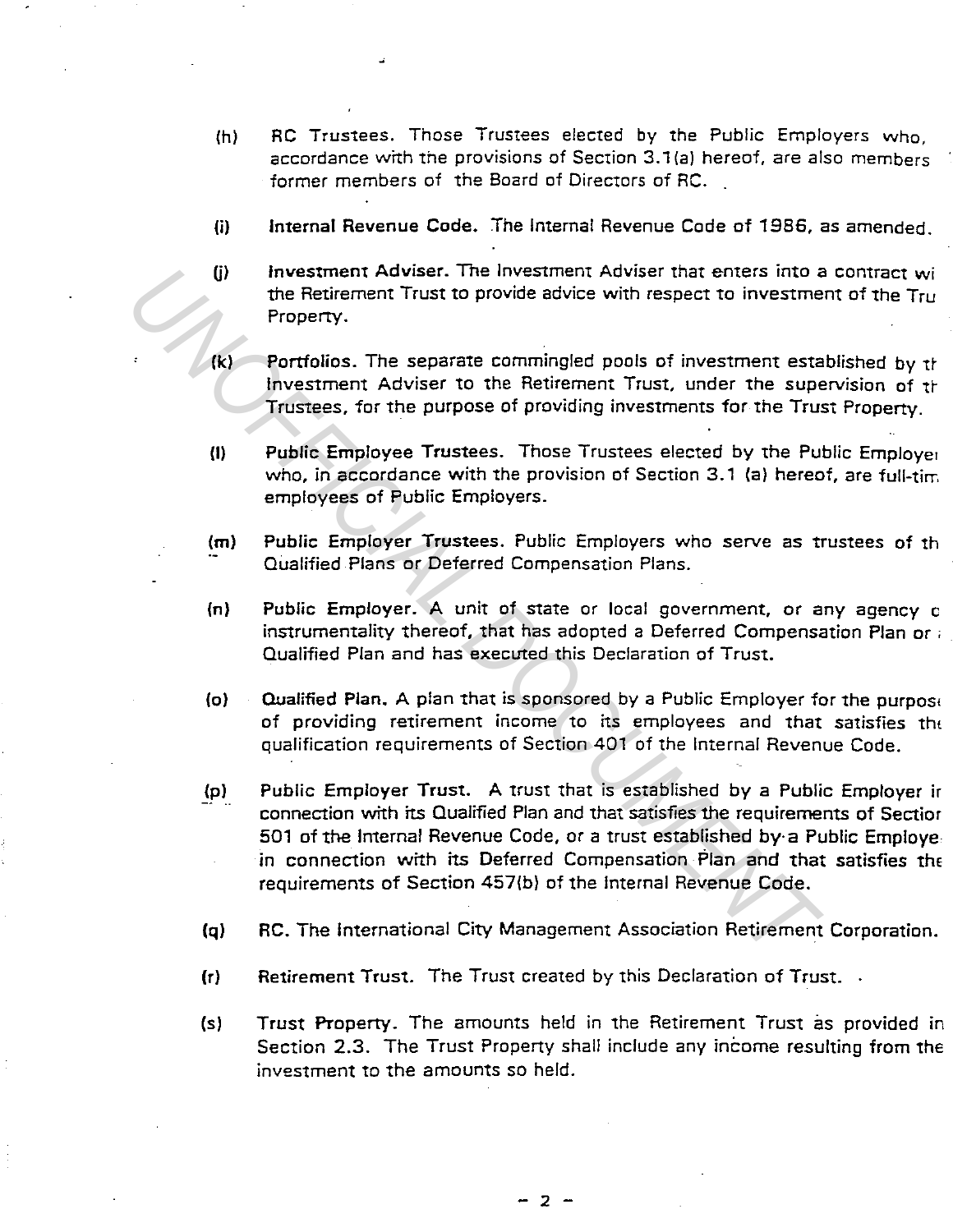- $(h)$ RC Trustees. Those Trustees elected by the Public Employers who, accordance with the provisions of Section 3.1 {a) hereof, are also members former members of the Board of Directors of RC.
- (i) Internal Revenue Code. The Internal Revenue Code of 1986, as amended.
- $(i)$ Investment Adviser. The Investment Adviser that enters into a contract wi the Retirement Trust to provide advice with respect to investment of the Tru Property.
- $(k)$ Portfolios. The separate commingled pools of investment established by the Investment Adviser to the Retirement Trust, under the supervision of the Trustees, for the purpose of providing investments for the Trust Property.
- (I) Public Employee Trustees. Those Trustees elected by the Public Employer who, in accordance with the provision of Section 3.1 (a) hereof, are full-tim. employees of Public Employers.
- (m) Public Employer Trustees. Public Employers who serve as trustees of th Qualified Plans or Deferred Compensation Plans.
- (n) Public Employer. A unit of state or local government, or any agency c instrumentality thereof, that has adopted a Deferred Compensation Plan or , Qualified Plan and has executed this Declaration of Trust.
- (o) Qualified Plan. A plan that is sponsored by a Public Employer for the purpose of providing retirement income to its employees and that satisfies the qualification requirements of Section 401 of the Internal Revenue Code.
- (pl Public Employer Trust. A trust that is established by a Public Employer ir connection with its Qualified Plan and that satisfies the requirements of Sectior 501 of the Internal Revenue Code, or a trust established by· a Public Employe in connection with its Deferred Compensation Plan and that satisfies the requirements of Section 457(b) of the Internal Revenue Code. **IDENTIFY THE SETTE INTERT ADVISE THE STATE AND THE SET AND THE PROPERTY.**<br> **UNOFFICIAL DEFECT TO A PERCEFER AND THE SET AND THE SET AND THE SET AND THE STATE THE STATE THE STATE THE SET AND THE STATE THE STATE THE STATE T** 
	- $(q)$ RC. The International City Management Association Retirement Corporation.
	- $(r)$ Retirement Trust. The Trust created by this Declaration of Trust...
	- (sl Trust Property. The amounts held in the Retirement Trust as provided in Section 2.3. The Trust Property shall include any income resulting from the investment to the amounts so held.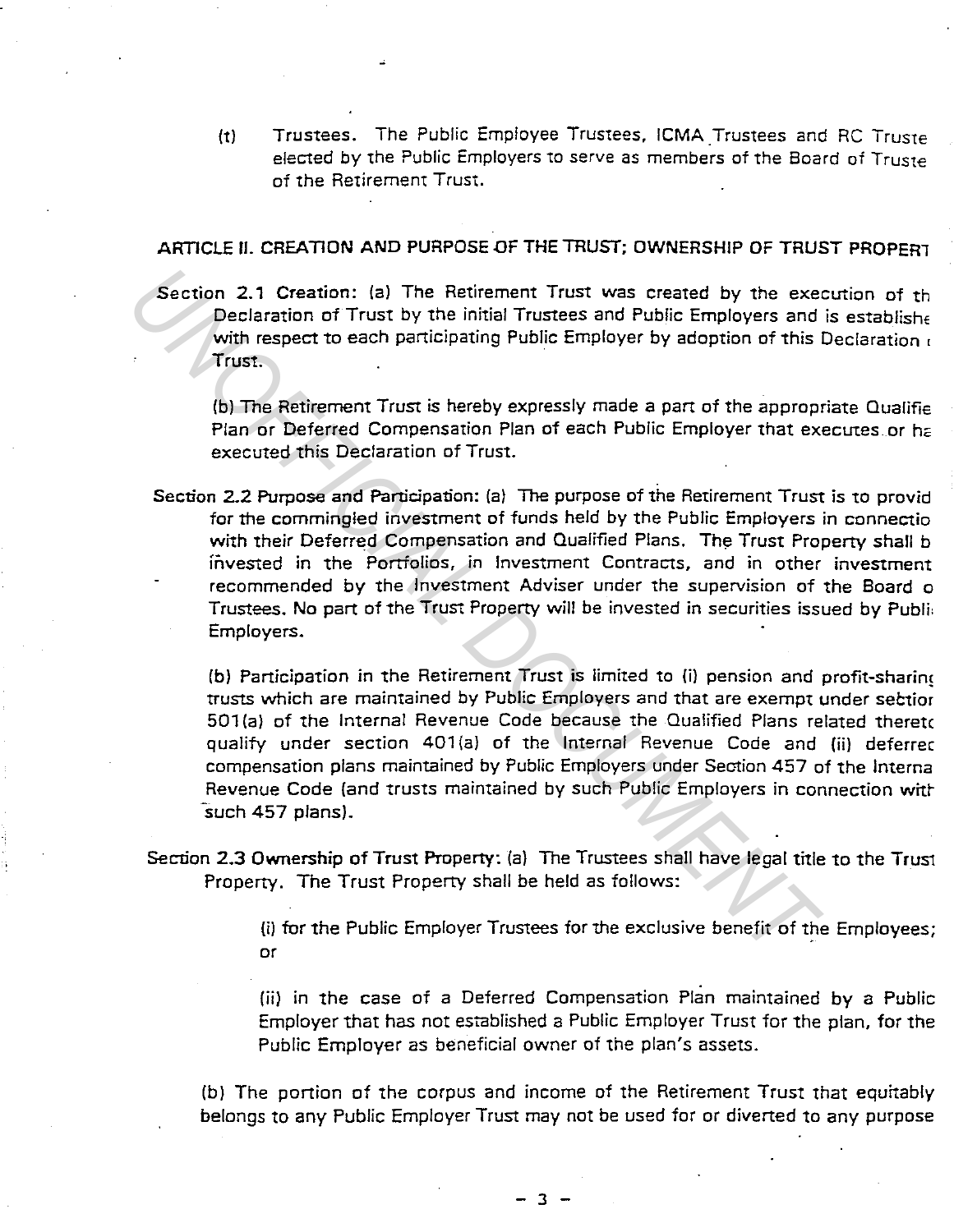(t) Trustees. The Public Employee Trustees, ICMA Trustees and RC Truste elected by the Public Employers to serve as members of the Board of Truste of the Retirement Trust.

# ARTICLE II. CREATION AND PURPOSE OF THE TRUST; OWNERSHIP OF TRUST PROPERT

Section 2.1 Creation: (a) The Retirement Trust was created by the execution of th Declaration of Trust by the initial Trustees and Public Employers and is establishe with respect to each participating Public Employer by adoption of this Declaration  $\epsilon$ Trust.

{b) The Retirement Trust is hereby expressly made a part of the appropriate Qualifie Plan or Deferred Compensation Plan of each Public Employer that executes or ha executed this Declaration of Trust.

Section 2.2 Purpose and Participation: (a) The purpose of the Retirement Trust is to provid for the commingled investment of funds held by the Public Employers in connectio with their Deferred Compensation and Qualified Plans. The Trust Property shall b fityested in the Portfolios, in Investment Contracts, and in other investment recommended by the Investment Adviser under the supervision of the Board o Trustees. No part of the Trust Property will be invested in securities issued by Publi: Employers. Section 2.1 Creation: (a) The Retirement Trust was created by the exemple and Fulloir Trust by the initial Trustees and Public Employers and With respect to each participating Public Employer by adoption of this intust.<br>
T

(bl Participation in the Retirement Trust is limited to {i) pension and profit-sharinc trusts which are maintained by Public Employers and that are exempt under sectior 501 (a) of the Internal Revenue Code because the Qualified Plans related theretc qualify under section 401(a) of the Internal Revenue Code and (ii) deferred compensation plans maintained by Public Employers under Section 457 of the lnterna Revenue Code {and trusts maintained by such Public Employers in connection witr such 457 plans).

Section 2.3 Ownership of Trust Property: (a} The Trustees shall have legal title to the Trust Property. The Trust Property shall be held as follows:

> (i) for the Public Employer Trustees for the exclusive benefit of the Employees; or

> {ii} in the case of a Deferred Compensation Plan maintained by a Public Employer that has not established a Public Employer Trust for the plan, for the Public Employer as beneficial owner of the plan's assets.

(b) The portion of the corpus and income of the Retirement Trust that equitably belongs to any Public Employer Trust may not be used for or diverted to any purpose

 $-3$  -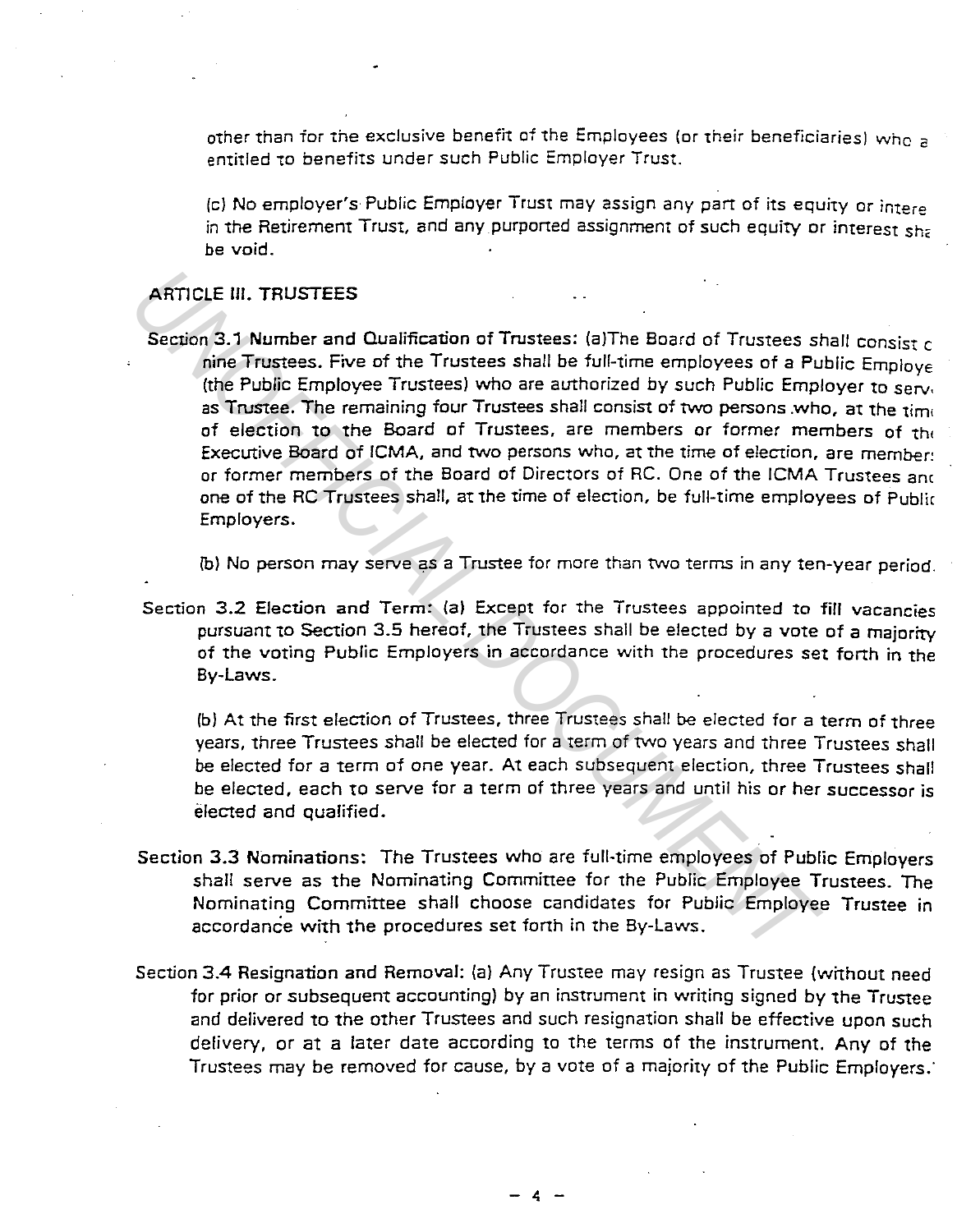other than for the exclusive benefit of the Employees (or their beneficiaries) who a entitled to benefits under such Public Employer Trust.

(c) No employer's Public Employer Trust may assign any part of its equity or intere in the Retirement Trust, and any purported assignment of such equity or interest sha be void.

# ARTICLE III. TRUSTEES

Section 3.1 Number and Qualification of Trustees: (a)The Board of Trustees shall consist c nine Trustees. Five of the Trustees shall be full-time employees of a Public Employe (the Public Employee Trustees) who are authorized by such Public Employer to serv, as Trustee. The remaining four Trustees shall consist of two persons who, at the time of election to the Board of Trustees, are members or former members of the Executive Board of ICMA, and two persons who, at the time of election, are member! or former members of the Board of Directors of RC. One of the ICMA Trustees anc one of the RC Trustees shall, at the time of election, be full-time employees of Public Employers. **ARTICLE III. TRUSTEES**<br>
Section 3.1 Number and Qualification of Trustees: (a)The Board of Trustees sheep of the Trustees shell be full-time employees of a Pu<br>
the Public Employee Trustees. The remaining four Trustees shal

{b) No person may serve as a Trustee for more than two terms in any ten-year period.

Section 3.2 Election and Term: (a) Except for the Trustees appointed to fill vacancies pursuant to Section 3.5 hereof, the Trustees shall be elected by a vote of a majority of the voting Public Employers in accordance with the procedures set forth in the By-Laws.

(b) At the first election of Trustees, three Trustees shall be elected for a term of three years, three Trustees shall be elected for a term of two years and three Trustees shall be elected for a term of one year. At each subsequent election, three Trustees shall be elected, each to serve for a term of three years and until his or her successor is elected and qualified.

- Section 3.3 Nominations: The Trustees who are full-time employees of Public Employers shall serve as the Nominating Committee for the Public Employee Trustees. The Nominating Committee shall choose candidates for Public Employee Trustee in accordance with the procedures set forth in the By-Laws.
- Section 3.4 Resignation and Removal: (a) Any Trustee may resign as Trustee (without need for prior or subsequent accounting) by an instrument in writing signed by the Trustee and delivered to the other Trustees and such resignation shall be effective upon such delivery, or at a later date according to the terms of the instrument. Any of the Trustees may be removed for cause, by a vote of a majority of the Public Employers: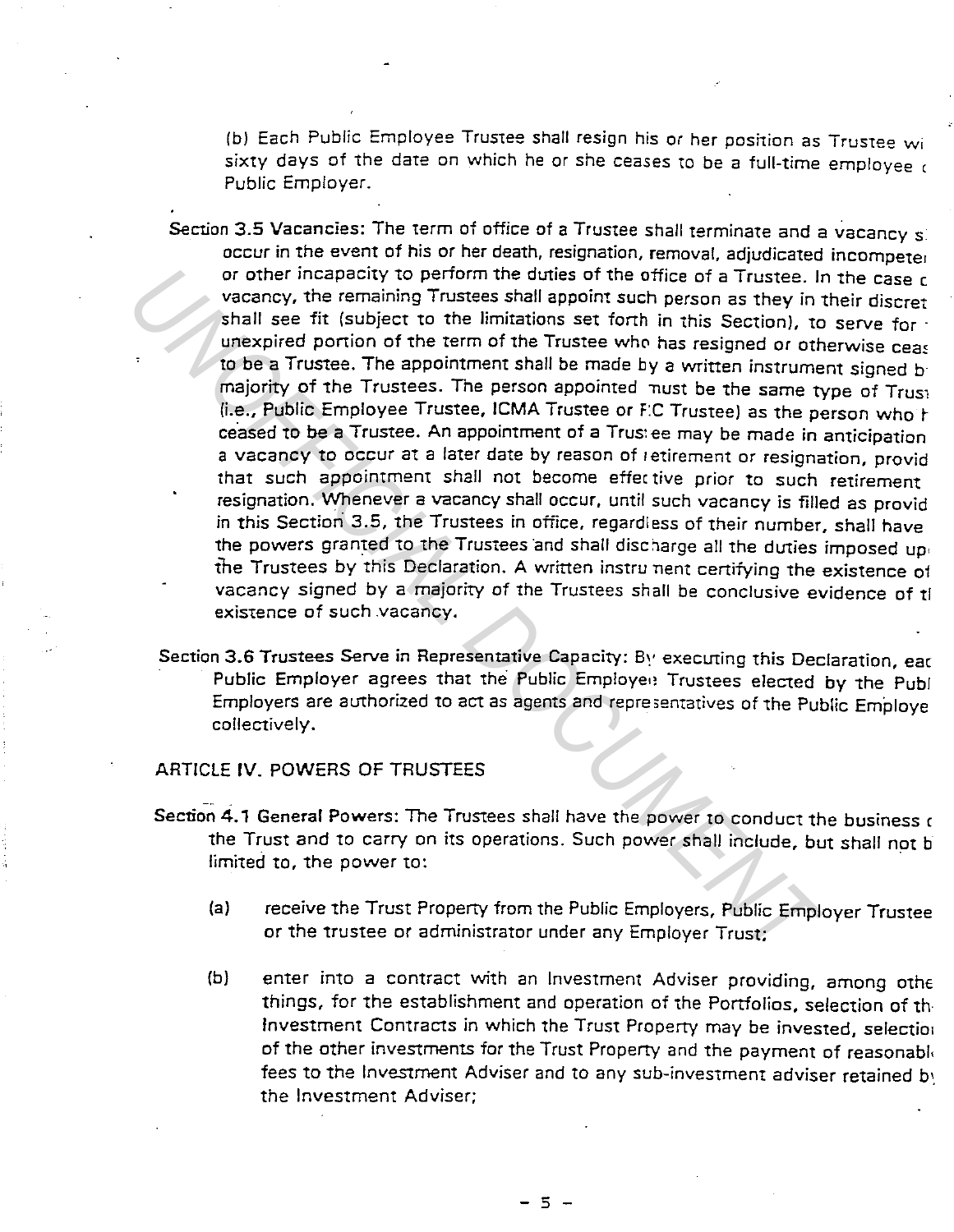(b) Each Public Employee Trustee shall resign his or her position as Trustee wi sixty days of the date on which he or she ceases to be a full-time employee  $\epsilon$ Public Employer.

- Section 3.5 Vacancies: The term of office of a Trustee shall terminate and a vacancy si occur in the event of his or her death, resignation, removal, adjudicated incompeter or other incapacity to perform the duties of the office of a Trustee. In the case c vacancy, the remaining Trustees shall appoint such person as they in their discret shall see fit (subject to the limitations set forth in this Section), to serve tor · unexpired portion of the term of the Trustee who has resigned or otherwise ceas to be a Trustee. The appointment shall be made by a written instrument signed b majority of the Trustees. The person appointed nust be the same type of Trusi (i.e., Public Employee Trustee, JCMA Trustee or F:C Trustee) as the person who r ceased to be a Trustee. An appointment of a Trus: ee may be made in anticipation a vacancy to occur at a later date by reason of retirement or resignation, provid that such appointment shall not become effective prior to such retirement resignation. Whenever a vacancy shall occur, until such vacancy is filled as provid in this Section 3.5, the Trustees in office, regardless of their number, shall have the powers granted to the Trustees and shall discharge all the duties imposed up. the Trustees by this Declaration. A written instru nent certifying the existence of vacancy signed by a majority of the Trustees shall be conclusive evidence of ti existence of such .vacancy. or other incapacity to perform the duties of the office of a Trustee. In vactory, the remaining Trustees shall appoint such person as they in the latter in the tractic to the limitations set forth in this Section), to unex
	- Section 3.6 Trustees Serve in Representative Capacity: By executing this Declaration, eac Public Employer agrees that the Public Employee Trustees elected by the Publ Employers are authorized to act as agents and repre;ematives of 1he Public Employe collectively.

# ARTICLE IV. POWERS OF TRUSTEES

- Section 4.1 General Powers: The Trustees shall have the power to conduct the business  $$ the Trust and to carry on its operations. Such power shall include, but shall not b limited to, the power to:
	- (a) receive the Trust Property from the Public Employers, Public Employer Trustee or the trustee or administrator under any Employer Trust;
	- (b) enter into a contract with an Investment Adviser providing, among othe things, tor the establishment and operation of the Portfolios, selection of th Investment Contracts in which the Trust Property may be invested, selectior of the other investments for the Trust Property and the payment of reasonabl, fees to the Investment Adviser and to any sub-investment adviser retained by the Investment Adviser;

- 5 -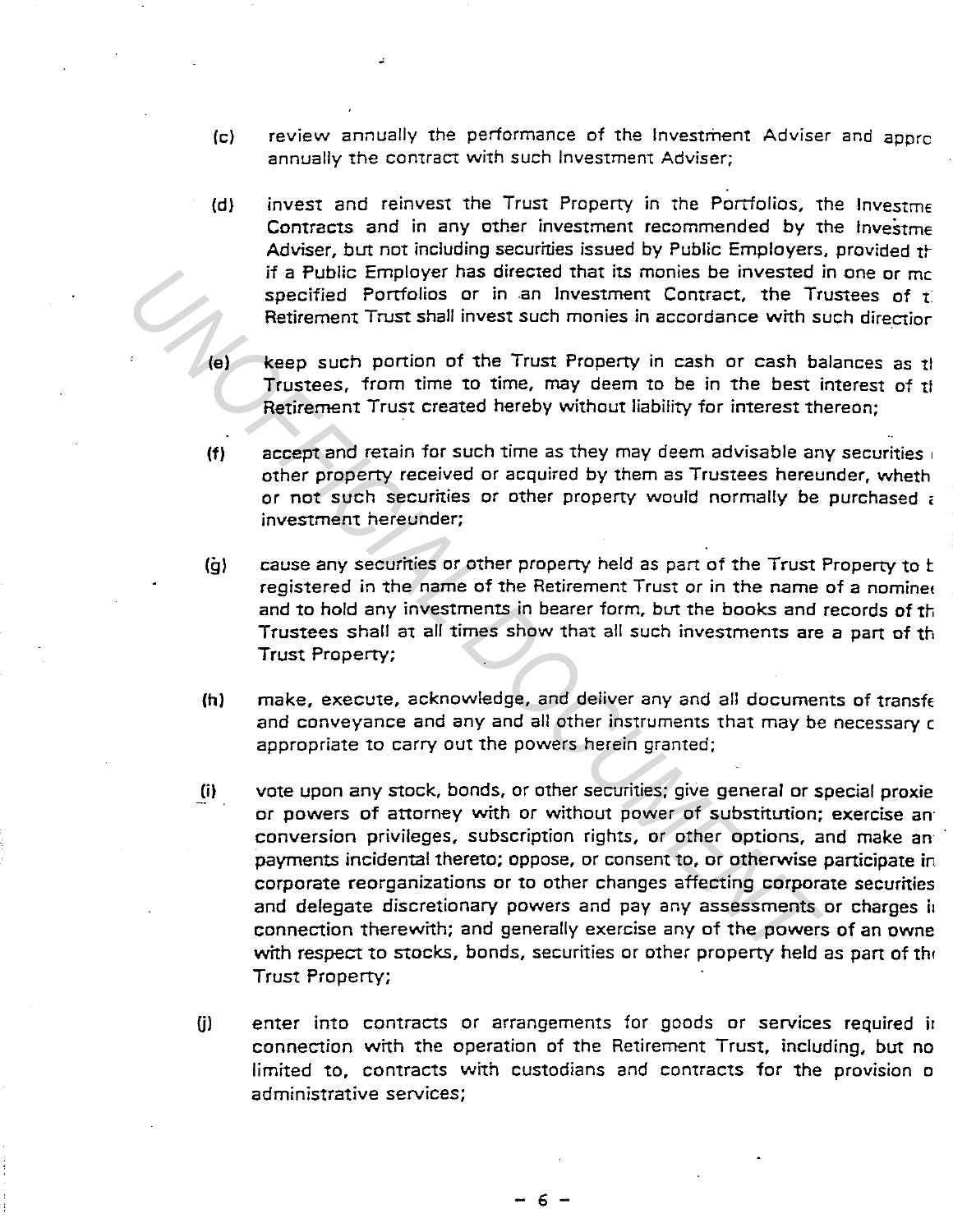- (c) review annually the performance of the Investment Adviser and apprc annually the contract with such Investment Adviser;
- (d) invest and reinvest the Trust Property in the Portfolios, the Investme Contracts and in any other investment recommended by the lnvestme Adviser, but not including securities issued by Public Employers, provided the if a Public Employer has directed that its monies be invested in one or me specified Portfolios or in an Investment Contract, the Trustees of  $t$ . Retirement Trust shall invest such monies in accordance with such direction.
- (el keep such portion of the Trust Property in cash or cash balances as ti Trustees, from time to time, may deem to be in the best interest of the Retirement Trust created hereby without liability for interest thereon;
- (f) accept and retain for such time as they may deem advisable any securities  $\frac{1}{10}$ other property received or acquired by them as Trustees hereunder, wheth or not such securities or other property would normally be purchased a investment hereunder;
- (g) cause any securities or other property held as part of the Trust Property to b registered in the name of the Retirement Trust or in the name of a nominet and to hold any investments in bearer form, but the books and records of th Trustees shall at all times show that all such investments are a part of th Trust Property;
- (h) make, execute, acknowledge, and deliver any and all documents of transference and conveyance and any and all other instruments that may be necessary c appropriate to carry out the powers herein granted;
- Iii vote upon any stock, bonds, or other securities; give general or special proxie or powers of attorney with or without power of substitution; exercise an conversion privileges, subscription rights, or other options, and make an payments incidental thereto; oppose, or consent to, or otherwise participate in corporate reorganizations or to other changes affecting corporate securities and delegate discretionary powers and pay any assessments or charges in connection therewith; and generally exercise any of the powers of an owne with respect to stocks, bonds, securities or other property held as part of the Trust Property; **Examples and state and state and is moneted to the state of that is moneted that is moneted that is moneted to the Transment Trust shall invest such monies in accordance with State Hender Trust stand invest such monies in** 
	- GI enter into contracts or arrangements for goods or services required ir connection with the operation of the Retirement Trust, including, but no limited to, contracts with custodians and contracts for the provision o administrative services;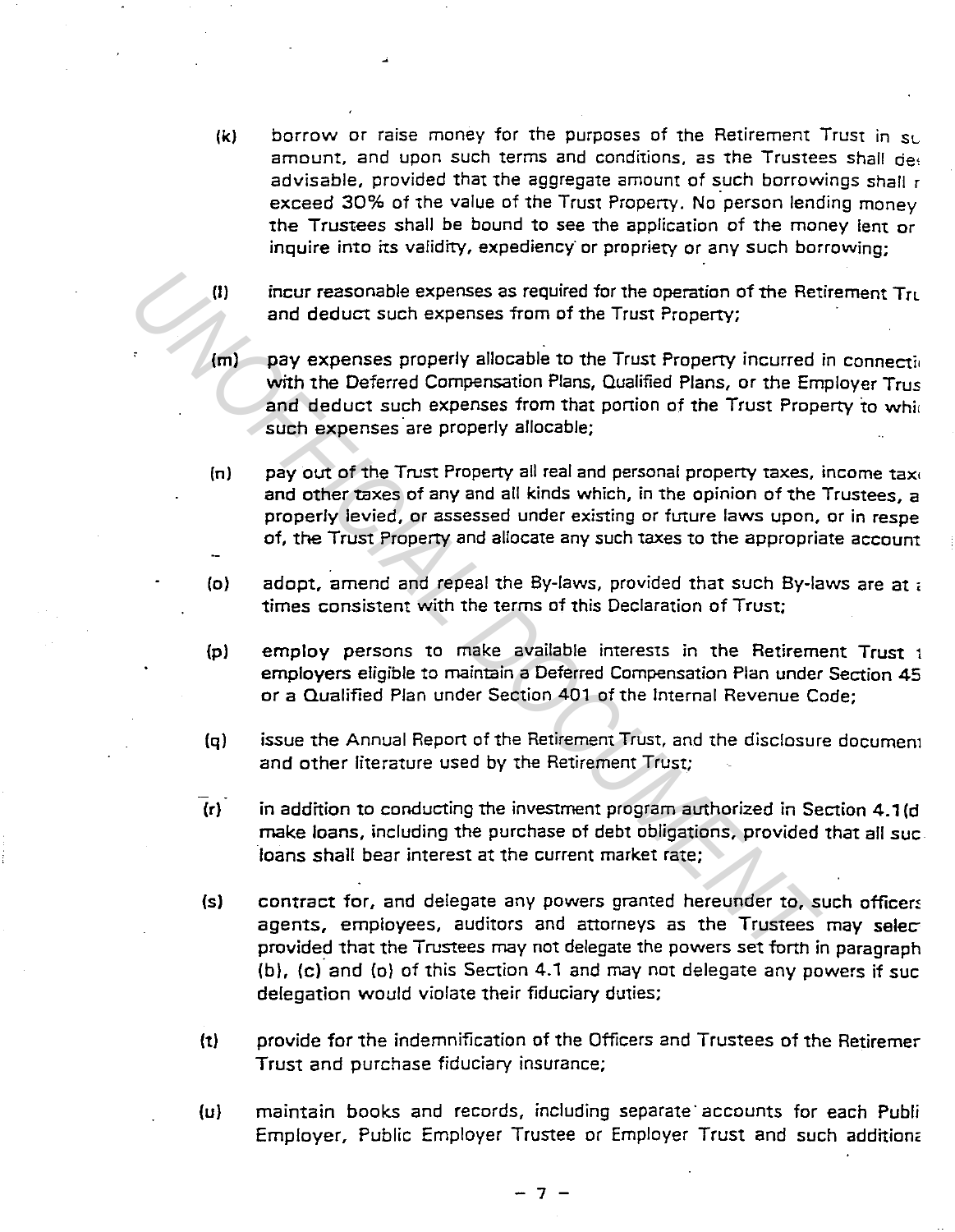- $(k)$  borrow or raise money for the purposes of the Retirement Trust in  $s_L$ amount, and upon such terms and conditions, as the Trustees shall deg advisable, provided that the aggregate amount of such borrowings shall r exceed 30% of the value of the Trust Property. No person lending money the Trustees shall be bound to see the application of the money lent or inquire into its validity, expediency or propriety or any such borrowing;
- (I) incur reasonable expenses as required for the operation of the Retirement  $Tr<sub>L</sub>$ and deduct such expenses from of the Trust Property;
- $(m)$  pay expenses properly allocable to the Trust Property incurred in connection with the Deferred Compensation Plans, Qualified Plans, or the Employer Trus and deduct such expenses from that portion of the Trust Property to while such expenses are properly allocable; (1) incur reasonable expenses as required for the operation of the Ret and deduct such expenses from of the Trust Property;<br> **(m)** Pay expenses property allocable to the Trust Property incurred with the Deferred Compensati
	- (n) pay out of the Trust Property all real and personal property taxes, income taxi and other taxes of any and all kinds which, in the opinion of the Trustees, a properly levied, or assessed under existing or future laws upon, or in respe of, the Trust Property and allocate any such taxes to the appropriate account
	- (o) adopt, amend and repeal the By-laws, provided that such By-laws are at , times consistent with the terms of this Declaration of Trust;
	- (p) employ persons to make available interests in the Retirement Trust 1 employers eligible to maintain a Deferred Compensation Plan under Section 45 or a Qualified Plan under Section 401 of the Internal Revenue Code;
	- (q) issue the Annual Report of the Retirement Trust, and the disclosure documem and other literature used by the Retirement Trust;
	- $\overline{r}$  in addition to conducting the investment program authorized in Section 4.1(d) make loans, including the purchase of debt obligations, provided that all sue. loans shall bear interest at the current market rate;
	- (s) contract for, and delegate any powers granted hereunder to, such officers agents, employees, auditors and attorneys as the Trustees may selecprovided that the Trustees may not delegate the powers set forth in paragraph (b), (c) and (o) of this Section 4.1 and may not delegate any powers if sue delegation would violate their fiduciary duties;
	- (t) provide for the indemnification of the Officers and Trustees of the Retiremer Trust and purchase fiduciary insurance;
	- (u) maintain books and records, including separate· accounts for each Publi Employer, Public Employer Trustee or Employer Trust and such addition<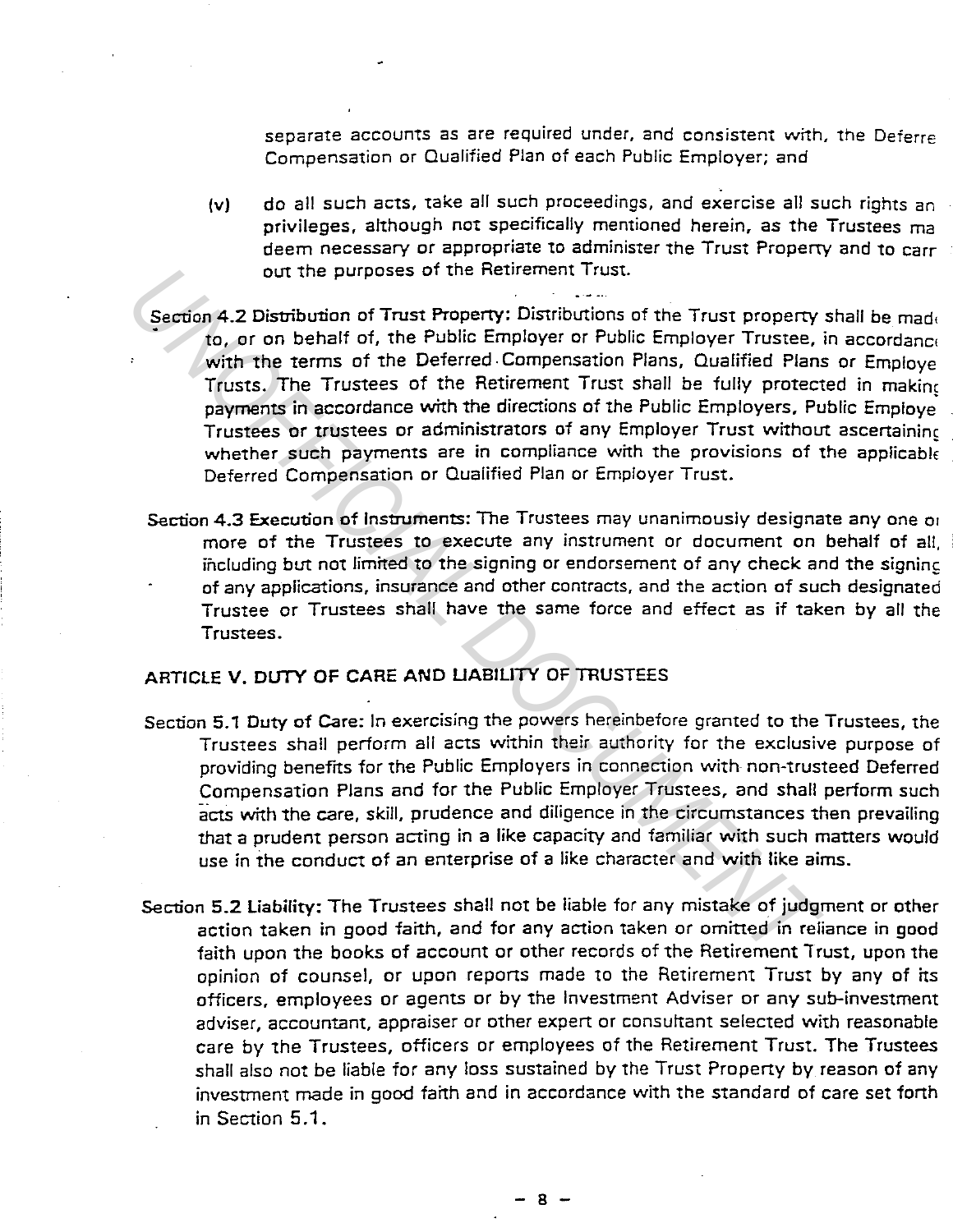separate accounts as are required under, and consistent with, the Deferre Compensation or Qualified Plan of each Public Employer; and

{v) do all such acts, take all such proceedings, and exercise all such rights an privileges, although not specifically mentioned herein, as the Trustees ma deem necessary or appropriate to administer the Trust Property and to carr out the purposes of the Retirement Trust.

- Section 4.2 Distribution of Trust Property: Distributions of the Trust property shall be made to, or on behalf of, the Public Employer or Public Employer Trustee, in accordance with the terms of the Deferred Compensation Plans, Qualified Plans or Employe Trusts. The Trustees of the Retirement Trust shall be fully protected in makinc payments in accordance with the directions of the Public Employers, Public Employe. Trustees or trustees or administrators of any Employer Trust without ascertaining whether such payments are in compliance with the provisions of the applicable Deferred Compensation or Quaiified Plan or Employer Trust. out the purposes of the Heurement Trust.<br>
Section 4.2 Distribution of Trust Property: Distributions of the Trust property<br> *Un, or* on behalf of, the Public Employer Trustee,<br>
with the terms of the Public Employer Trustee
	- Section 4.3 Execution of Instruments: The Trustees may unanimously designate any one or more of the Trustees to execute any instrument or document on behalf of all, including but not limited to the signing or endorsement of any check and the signing of any applications, insurance and other contracts, and the action of such designated Trustee or Trustees shall have the same force and effect as if taken by all the Trustees.

# ARTICLE V. DUTY OF CARE AND LIABILITY OF TRUSTEES

- Section 5.1 Duty of Care: In exercising the powers hereinbefore granted to the Trustees, the Trustees shall perform all acts within their authority for the exclusive purpose of providing benefits for the Public Employers in connection with non-trusteed Deferred Compensation Plans and for the Public Employer Trustees, and shall perform such acts with the care, skill, prudence and diligence in the circumstances then prevailing that a prudent person acting in a like capacity and familiar with such matters would use in the conduct of an enterprise of a like character and with like aims.
- Section 5.2 liability: The Trustees shall not be liable for any mistake of judgment or other action taken in good faith, and for any action taken or omitted in reliance in good faith upon the books of account or other records of the Retirement Trust, upon the opinion of counsel, or upon reports made to the Retirement Trust by any of its officers, employees or agents or by the Investment Adviser or any sub-investment adviser, accountant, appraiser or other expert or consultant selected with reasonable care by the Trustees, officers or employees of the Retirement Trust. The Trustees shall also not be liable for any loss sustained by the Trust Property by reason of any investment made in good faith and in accordance with the standard of care set forth in Section 5 .1 .